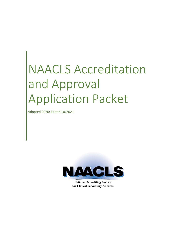# NAACLS Accreditation and Approval Application Packet

Adopted 2020; Edited 10/2021



**National Accrediting Agency** for Clinical Laboratory Sciences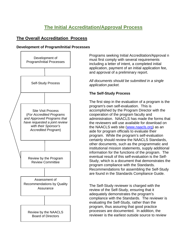### **The Initial Accreditation/Approval Process**

#### **The Overall Accreditation Process**

#### **Development of Program/Initial Processes**



Programs seeking Initial Accreditation/Approval n must first comply with several requirements including a letter of intent, a completed initial application, payment of an initial application fee, and approval of a preliminary report.

*All documents should be submitted in a single application packet.* 

#### **The Self-Study Process**

The first step in the evaluation of a program is the program's own self-evaluation. This is accomplished by the Program Director with the cooperation of the program faculty and administration. NAACLS has made the forms that the reviewers will use available for download on the NAACLS web site [\(www.naacls.org\)](http://www.naacls.org/) as an aide for program officials to evaluate their program. While the program's self-evaluation certainly should review the NAACLS Standards, other documents, such as the programmatic and institutional mission statements, supply additional information for the functions of the program. The eventual result of this self-evaluation is the Self-Study, which is a document that demonstrates the program compliance with the Standards. Recommendations for assembling the Self-Study are found in the Standards Compliance Guide.

The Self-Study reviewer is charged with the review of the Self-Study, ensuring that it adequately demonstrates the program's compliance with the Standards. The reviewer is evaluating the Self-Study, rather than the program, thus assuring that good practice processes are documented. In addition, the reviewer is the earliest outside source to review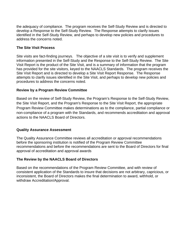the adequacy of compliance. The program receives the Self-Study Review and is directed to develop a Response to the Self-Study Review. The Response attempts to clarify issues identified in the Self-Study Review, and perhaps to develop new policies and procedures to address the concerns noted.

#### **The Site Visit Process**

Site visits are fact-finding journeys. The objective of a site visit is to verify and supplement information presented in the Self-Study and the Response to the Self-Study Review. The Site Visit Report is the product of the Site Visit, and is a summary of information that the program has provided for the site visitors, keyed to the NAACLS Standards. The program receives the Site Visit Report and is directed to develop a Site Visit Report Response. The Response attempts to clarify issues identified in the Site Visit, and perhaps to develop new policies and procedures to address the concerns noted.

#### **Review by a Program Review Committee**

Based on the review of Self-Study Review, the Program's Response to the Self-Study Review, the Site Visit Report, and the Program's Response to the Site Visit Report, the appropriate Program Review Committee makes determinations as to the compliance, partial compliance or non-compliance of a program with the Standards, and recommends accreditation and approval actions to the NAACLS Board of Directors.

#### **Quality Assurance Assessment**

The Quality Assurance Committee reviews all accreditation or approval recommendations before the sponsoring institution is notified of the Program Review Committee recommendations and before the recommendations are sent to the Board of Directors for final approval of accreditation and approval awards

#### **The Review by the NAACLS Board of Directors**

Based on the recommendations of the Program Review Committee, and with review of consistent application of the Standards to insure that decisions are not arbitrary, capricious, or inconsistent, the Board of Directors makes the final determination to award, withhold, or withdraw Accreditation/Approval.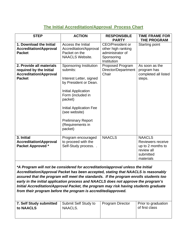#### **The Initial Accreditation/Approval Process Chart**

| <b>STEP</b>                                                                                           | <b>ACTION</b>                                                                                                                                                                                                                                                | <b>RESPONSIBLE</b><br><b>PARTY</b>                                                             | <b>TIME FRAME FOR</b><br><b>THE PROGRAM</b>                                                     |
|-------------------------------------------------------------------------------------------------------|--------------------------------------------------------------------------------------------------------------------------------------------------------------------------------------------------------------------------------------------------------------|------------------------------------------------------------------------------------------------|-------------------------------------------------------------------------------------------------|
| 1. Download the Initial<br><b>Accreditation/Approval</b><br><b>Packet</b>                             | Access the Initial<br>Accreditation/Approval<br>Packet on the<br><b>NAACLS Website.</b>                                                                                                                                                                      | <b>CEO/President or</b><br>other high ranking<br>administrator of<br>Sponsoring<br>Institution | Starting point                                                                                  |
| 2. Provide all materials<br>required by the Initial<br><b>Accreditation/Approval</b><br><b>Packet</b> | Sponsoring Institution<br>submits:<br>Interest Letter, signed<br>by President or Dean.<br>Initial Application<br>Form (included in<br>packet)<br><b>Initial Application Fee</b><br>(see website)<br><b>Preliminary Report</b><br>(Requirements in<br>packet) | Proposed Program<br>Director/Department<br>Chair                                               | As soon as the<br>program has<br>completed all listed<br>steps.                                 |
| 3. Initial<br><b>Accreditation\Approval</b><br>Packet Approved *                                      | Program encouraged<br>to proceed with the<br>Self-Study process                                                                                                                                                                                              | <b>NAACLS</b>                                                                                  | <b>NAACLS</b><br>Reviewers receive<br>up to 2 months to<br>review all<br>submitted<br>materials |

*\*A Program will not be considered for accreditation/approval unless the Initial Accreditation/Approval Packet has been accepted, stating that NAACLS is reasonably assured that the program will meet the standards. If the program enrolls students too early in the initial application process and NAACLS does not approve the program's Initial Accreditation/Approval Packet, the program may risk having students graduate from their program before the program is accredited/approved.*

| 7. Self Study submitted | Submit Self Study to | Program Director | Prior to graduation |
|-------------------------|----------------------|------------------|---------------------|
| to NAACLS               | NAACLS.              |                  | of first class      |
|                         |                      |                  |                     |
|                         |                      |                  |                     |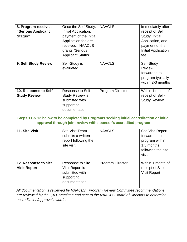| 8. Program receives<br>"Serious Applicant<br>Status"                                     | Once the Self-Study,<br>Initial Application,<br>payment of the Initial<br>Application fee are<br>received, NAACLS<br>grants "Serious<br><b>Applicant Status"</b> | <b>NAACLS</b>                                                   | Immediately after<br>receipt of Self<br>Study, Initial<br>Application, and<br>payment of the<br>Initial Application<br>fee |
|------------------------------------------------------------------------------------------|------------------------------------------------------------------------------------------------------------------------------------------------------------------|-----------------------------------------------------------------|----------------------------------------------------------------------------------------------------------------------------|
| 9. Self Study Review                                                                     | Self-Study is<br>evaluated.                                                                                                                                      | <b>NAACLS</b>                                                   | Self-Study<br><b>Review</b><br>forwarded to<br>program typically<br>within 2-3 months                                      |
| 10. Response to Self-<br><b>Study Review</b>                                             | Response to Self-<br><b>Study Review is</b><br>submitted with<br>supporting<br>documentation                                                                     | Program Director                                                | Within 1 month of<br>receipt of Self-<br><b>Study Review</b>                                                               |
| Steps 11 & 12 below to be completed by Programs seeking initial accreditation or initial |                                                                                                                                                                  | approval through joint review with sponsor's accredited program |                                                                                                                            |
| 11. Site Visit                                                                           | <b>Site Visit Team</b><br>submits a written<br>report following the<br>site visit                                                                                | <b>NAACLS</b>                                                   | <b>Site Visit Report</b><br>forwarded to<br>program within<br>1.5 months<br>following the site<br>visit                    |
| 12. Response to Site<br><b>Visit Report</b>                                              | <b>Response to Site</b><br>Visit Report is<br>submitted with<br>supporting<br>documentation                                                                      | <b>Program Director</b>                                         | Within 1 month of<br>receipt of Site<br><b>Visit Report</b>                                                                |

*All documentation is reviewed by NAACLS. Program Review Committee recommendations are reviewed by the QA Committee and sent to the NAACLS Board of Directors to determine accreditation/approval awards.*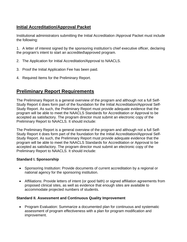#### **Initial Accreditation/Approval Packet**

Institutional administrators submitting the Initial Accreditation /Approval Packet must include the following:

1. A letter of interest signed by the sponsoring institution's chief executive officer, declaring the program's intent to start an accredited\approved program.

- 2. The Application for Initial Accreditation/Approval to NAACLS.
- 3. Proof the Initial Application Fee has been paid.
- 4. Required Items for the Preliminary Report.

### **Preliminary Report Requirements**

The Preliminary Report is a general overview of the program and although not a full Self-Study Report it does form part of the foundation for the Initial Accreditation/Approval Self-Study Report. As such, the Preliminary Report must provide adequate evidence that the program will be able to meet the NAACLS Standards for Accreditation or Approval to be accepted as satisfactory. The program director must submit an electronic copy of the Preliminary Report to NAACLS. It should include:

The Preliminary Report is a general overview of the program and although not a full Self-Study Report it does form part of the foundation for the Initial Accreditation/Approval Self-Study Report. As such, the Preliminary Report must provide adequate evidence that the program will be able to meet the NAACLS Standards for Accreditation or Approval to be accepted as satisfactory. The program director must submit an electronic copy of the Preliminary Report to NAACLS. It should include:

#### **Standard I. Sponsorship**

- Sponsoring Institution: Provide documents of current accreditation by a regional or national agency for the sponsoring institution.
- Affiliations: Provide letters of intent (or good faith) or signed affiliation agreements from proposed clinical sites, as well as evidence that enough sites are available to accommodate projected numbers of students.

#### **Standard II. Assessment and Continuous Quality Improvement**

• Program Evaluation: Summarize a documented plan for continuous and systematic assessment of program effectiveness with a plan for program modification and improvement.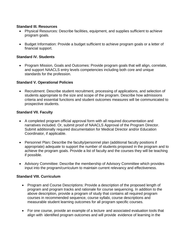#### **Standard III. Resources**

- Physical Resources: Describe facilities, equipment, and supplies sufficient to achieve program goals.
- Budget Information: Provide a budget sufficient to achieve program goals or a letter of financial support.

#### **Standard IV. Students**

• Program Mission, Goals and Outcomes: Provide program goals that will align, correlate, and support NAACLS entry levels competencies including both core and unique standards for the profession.

#### **Standard V. Operational Policies**

• Recruitment: Describe student recruitment, processing of applications, and selection of students appropriate to the size and scope of the program. Describe how admissions criteria and essential functions and student outcomes measures will be communicated to prospective students.

#### **Standard VII. Faculty**

- A completed program official approval form with all required documentation and narratives included. Or, submit proof of NAACLS Approval of the Program Director. Submit additionally required documentation for Medical Director and/or Education Coordinator, if applicable.
- Personnel Plan**:** Describe the faculty/personnel plan (additional faculty positions if appropriate) adequate to support the number of students proposed in the program and to achieve the program goals. Provide a list of faculty and the courses they will be teaching if possible.
- Advisory Committee: Describe the membership of Advisory Committee which provides input into the program/curriculum to maintain current relevancy and effectiveness.

#### **Standard VIII. Curriculum**

- Program and Course Descriptions: Provide a description of the proposed length of program and program tracks and rationale for course sequencing. In addition to the above description, provide a program of study that contains all required program courses in recommended sequence, course syllabi, course descriptions and measurable student learning outcomes for all program specific courses.
- For one course, provide an example of a lecture and associated evaluation tools that align with identified program outcomes and will provide evidence of learning in the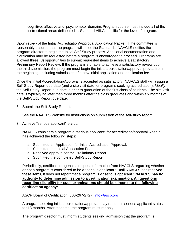cognitive, affective and psychomotor domains Program course must include all of the instructional areas delineated in Standard VIII.A specific for the level of program.

Upon review of the Initial Accreditation/Approval Application Packet, if the committee is reasonably assured that the program will meet the Standards; NAACLS notifies the program director to begin the Initial Self-Study process. Additional documentation and clarification may be requested before a program is encouraged to proceed. Programs are allowed three (3) opportunities to submit requested items to achieve a satisfactory Preliminary Report Review. If the program is unable to achieve a satisfactory review upon the third submission, the program must begin the initial accreditation/approval proves from the beginning, including submission of a new initial application and application fee.

Once the Initial Accreditation/Approval is accepted as satisfactory, NAACLS staff will assign a Self-Study Report due date (and a site visit date for programs seeking accreditation). *Ideally*, the Self-Study Report due date is prior to graduation of the first class of students. The site visit date is typically no later than three months after the class graduates and within six months of the Self-Study Report due date.

6. Submit the Self-Study Report.

See the NAACLS Website for instructions on submission of the self-study report.

7. Achieve "serious applicant" status.

NAACLS considers a program a "serious applicant" for accreditation/approval when it has achieved the following steps:

- a. Submitted an Application for Initial Accreditation/Approval.
- b. Submitted the Initial Application Fee.
- c. Received approval for the Preliminary Report.
- d. Submitted the completed Self-Study Report.

Periodically, certification agencies request information from NAACLS regarding whether or not a program is considered to be a "serious applicant." Until NAACLS has received these items, it does not report that a program is a "serious applicant." **NAACLS has no authority to determine admission to a certification examination. All questions regarding eligibility for such examinations should be directed to the following certification agency:**

ASCP Board of Certification, 800-267-2727; [info@ascp.org](mailto:info@ascp.org)

A program seeking initial accreditation/approval may remain in serious applicant status for 18 months. After that time, the program must reapply.

The program director must inform students seeking admission that the program is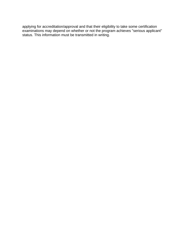applying for accreditation/approval and that their eligibility to take some certification examinations may depend on whether or not the program achieves "serious applicant" status. This information must be transmitted in writing.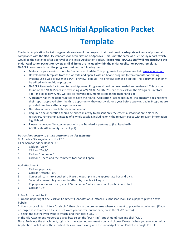# **NAACLS Initial Application Packet Template**

The Initial Application Packet is a general overview of the program that must provide adequate evidence of potential compliance with the NAACLS standards for Accreditation or Approval. This is not the same as a Self‐Study report, which would be the next step after approval of the Initial Application Packet. **Please note, NAACLS Staff will not distribute the Initial Application Packet for review until all items are included within the Initial Application Packet template.**  NAACLS recommends that the program consider the following items:

- Make sure your version of Adobe Reader is up to date. This program is free, please see link: www.adobe.com
- Download the template from the website and open it with an Adobe program (often computer operating systems use a web browser as a PDF "preview" default. This preview cannot be edited. This document can only be edited with an Adobe program.
- NAACLS Standards for Accredited and Approved Programs should be downloaded and reviewed. This can be found on the NAACLS website by visiting WWW.NAACLS.ORG. You can then click on the "Program Directors Tab" and scroll down. You will see all relevant documents listed on the right hand side.
- A program has three opportunities to have their Initial Application Packet approved. If a program does not have their report approved after the third opportunity, they must wait for a year before applying again. Programs are provided feedback after a negative review.
- Narrative answers should be clear and concise.
- Required documentation should be edited in a way to present only the essential information to NAACLS reviewers. For example, instead of a whole catalog, including only the relevant pages with relevant information highlighted.
- Please name your file attachments with the Standard it pertains to (i.e. Standard1-ABCHospitalAffiliationAgreement.pdf).

#### *Instructions on how to attach documents to this template:*

To Attach a File anywhere in this PDF:

I. For Acrobat Adobe Reader DC:

- 1. Click on "View"
- 2. Click on "Tools"
- 3. Click on "Comment"
- 4. Click on "Open" and the comment tool bar will open.

#### Add attachment

- 1. Click on paper clip.
- 2. Click on "Attach File".
- 3. Cursor will turn into a push pin. Place the push pin in the appropriate box and click.
- 4. Select document file you want to attach by double clicking on it.
- 5. Pop up window will open; select "Attachment" which has icon of push pin next to it.
- 6. Click on "OK".

II. For Acrobat Adobe XI:

1. On the upper right side, click on Comment > Annotations > Attach File (the icon looks like a paperclip with a text bubble).

2. Your cursor will turn into a "push pin", then click in the proper area where you want to place the attachment. (If you no longer wish to attach a file and just want your normal cursor back, press the "ESC" button)

3. Select the file that you want to attach, and then click SELECT.

In the File Attachment Properties dialog box, select the "Push Pin" (attachment) icon and click "OK".

Note: To delete the attachment, right‐click the attached comment icon, and choose Delete. When you save your Initial Application Packet, all of the attached files are saved along with the Initial Application Packet in a single PDF file.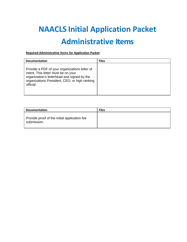## **NAACLS Initial Application Packet Administrative Items**

#### **Required Administrative Items for Application Packet:**

| <b>Documentation</b>                                                                                                                                                                              | <b>Files</b> |
|---------------------------------------------------------------------------------------------------------------------------------------------------------------------------------------------------|--------------|
| Provide a PDF of your organizations letter of<br>intent. This letter must be on your<br>organization's letterhead and signed by the<br>organizations President, CEO, or high ranking<br>official. |              |

| <b>Documentation</b>                                        | <b>Files</b> |
|-------------------------------------------------------------|--------------|
| Provide proof of the initial application fee<br>submission. |              |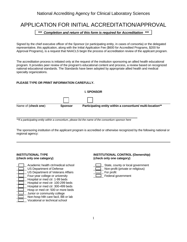### APPLICATION FOR INITIAL ACCREDITATION/APPROVAL

*\*\*\* Completion and return of this form is required for Accreditation \*\*\**

Signed by the chief executive officer of the Sponsor (or participating entity, in cases of consortia) or the delegated representative, this application, along with the Initial Application Fee (\$600 for Accredited Programs, \$200 for Approval Programs), is a request that NAACLS begin the process of accreditation review of the applicant program.

The accreditation process is initiated only at the request of the institution sponsoring an allied health educational program. It provides peer review of the program's educational content and process, a review based on recognized national educational standards. The Standards have been adopted by appropriate allied health and medical specialty organizations.

#### **PLEASE TYPE OR PRINT INFORMATION CAREFULLY.**



*\*\*If a participating entity within a consortium, please list the name of the consortium sponsor here*

The sponsoring institution of the applicant program is accredited or otherwise recognized by the following national or regional agency:

### **(check only one category) (check only one category)**

Academic health ctr/medical school  $\Box$  State, county or local government US Department of Defense <br>US Department of Veterans Affairs **Definition** For profit (private or religious) US Department of Veterans Affairs Four-year college or university **EXECUTE:** Federal government Hospital or med ctr: 1-99 beds Hospital or med ctr: 100-299 beds Hospital or med ctr: 300-499 beds Hosp or med ctr: 500 or more beds Junior or community college Non-hosp hlth care facil, BB or lab Vocational or technical school

### **INSTITUTIONAL TYPE** INSTITUTIONAL CONTROL (Ownership)<br>
(check only one category) (check only one category)

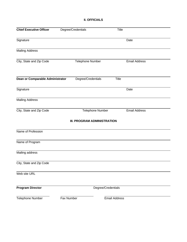#### **II. OFFICIALS**

| <b>Chief Executive Officer</b>   | Degree/Credentials          | Title                |  |
|----------------------------------|-----------------------------|----------------------|--|
| Signature                        |                             | Date                 |  |
| <b>Mailing Address</b>           |                             |                      |  |
| City, State and Zip Code         | <b>Telephone Number</b>     | <b>Email Address</b> |  |
| Dean or Comparable Administrator | Degree/Credentials          | <b>Title</b>         |  |
| Signature                        |                             | Date                 |  |
| <b>Mailing Address</b>           |                             |                      |  |
| City, State and Zip Code         | Telephone Number            | <b>Email Address</b> |  |
|                                  | III. PROGRAM ADMINISTRATION |                      |  |
| Name of Profession               |                             |                      |  |
| Name of Program                  |                             |                      |  |
| Mailing address                  |                             |                      |  |
| City, State and Zip Code         |                             |                      |  |
| Web site URL                     |                             |                      |  |
| <b>Program Director</b>          |                             | Degree/Credentials   |  |
| Telephone Number                 | Fax Number                  | <b>Email Address</b> |  |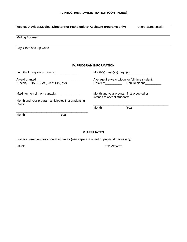| Medical Advisor/Medical Director (for Pathologists' Assistant programs only)                        |                                                                            | Degree/Credentials |
|-----------------------------------------------------------------------------------------------------|----------------------------------------------------------------------------|--------------------|
| <b>Mailing Address</b>                                                                              |                                                                            |                    |
| City, State and Zip Code                                                                            |                                                                            |                    |
|                                                                                                     | <b>IV. PROGRAM INFORMATION</b>                                             |                    |
| Length of program in months_________________                                                        |                                                                            |                    |
| (Specify -- BA, BS, AS, Cert, Dipl, etc)                                                            | Average first-year tuition for full-time student:<br>Resident Non-Resident |                    |
| Maximum enrollment capacity_________________<br>Month and year program anticipates first graduating | Month and year program first accepted or<br>intends to accept students:    |                    |
| Class:                                                                                              | Month                                                                      | Year               |
| Month<br>Year                                                                                       |                                                                            |                    |

#### **V. AFFILIATES**

#### **List academic and/or clinical affiliates (use separate sheet of paper, if necessary)**

NAME CITY/STATE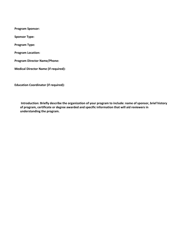**Program Sponsor:** 

**Sponsor Type:** 

**Program Type:** 

**Program Location:**

**Program Director Name/Phone:** 

**Medical Director Name (if required):**

**Education Coordinator (if required):**

**Introduction: Briefly describe the organization of your program to include: name of sponsor, brief history of program, certificate or degree awarded and specific information that will aid reviewers in understanding the program.**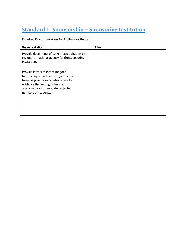### **Standard I: Sponsorship – Sponsoring Institution**

#### **Required Documentation for Preliminary Report:**

| <b>Documentation</b>                                                                                                                                                                                                      | <b>Files</b> |
|---------------------------------------------------------------------------------------------------------------------------------------------------------------------------------------------------------------------------|--------------|
| Provide documents of current accreditation by a<br>regional or national agency for the sponsoring<br>institution.                                                                                                         |              |
| Provide letters of intent (or good<br>faith) or signed affiliation agreements<br>from proposed clinical sites, as well as<br>evidence that enough sites are<br>available to accommodate projected<br>numbers of students. |              |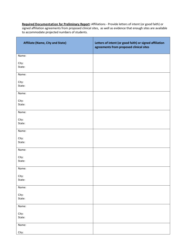**Required Documentation for Preliminary Report:** Affiliations - Provide letters of intent (or good faith) or signed affiliation agreements from proposed clinical sites, as well as evidence that enough sites are available to accommodate projected numbers of students.

| <b>Affiliate (Name, City and State)</b> | Letters of intent (or good faith) or signed affiliation<br>agreements from proposed clinical sites |
|-----------------------------------------|----------------------------------------------------------------------------------------------------|
| Name:                                   |                                                                                                    |
| City:<br>State:                         |                                                                                                    |
| Name:                                   |                                                                                                    |
| City:<br>State:                         |                                                                                                    |
| Name:                                   |                                                                                                    |
| City:<br>State:                         |                                                                                                    |
| Name:                                   |                                                                                                    |
| City:<br>State:                         |                                                                                                    |
| Name:                                   |                                                                                                    |
| City:<br>State:                         |                                                                                                    |
| Name:                                   |                                                                                                    |
| City:<br>State:                         |                                                                                                    |
| Name:                                   |                                                                                                    |
| City:<br>State:                         |                                                                                                    |
| Name:                                   |                                                                                                    |
| City:<br>State:                         |                                                                                                    |
| Name:                                   |                                                                                                    |
| City:<br>State:                         |                                                                                                    |
| Name:                                   |                                                                                                    |
| City:                                   |                                                                                                    |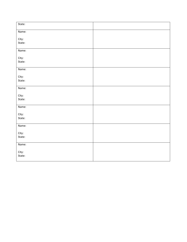| State: |  |
|--------|--|
| Name:  |  |
| City:  |  |
| State: |  |
| Name:  |  |
| City:  |  |
| State: |  |
| Name:  |  |
| City:  |  |
| State: |  |
| Name:  |  |
| City:  |  |
| State: |  |
| Name:  |  |
| City:  |  |
| State: |  |
| Name:  |  |
| City:  |  |
| State: |  |
| Name:  |  |
| City:  |  |
| State: |  |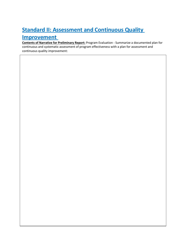### **Standard II: Assessment and Continuous Quality Improvement**

**Contents of Narrative for Preliminary Report:** Program Evaluation - Summarize a documented plan for continuous and systematic assessment of program effectiveness with a plan for assessment and continuous quality improvement: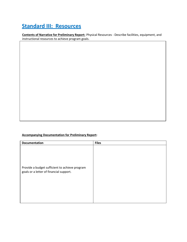### **Standard III: Resources**

**Contents of Narrative for Preliminary Report:** Physical Resources - Describe facilities, equipment, and instructional resources to achieve program goals.

#### **Accompanying Documentation for Preliminary Report:**

| <b>Documentation</b>                                                                      | <b>Files</b> |
|-------------------------------------------------------------------------------------------|--------------|
| Provide a budget sufficient to achieve program<br>goals or a letter of financial support. |              |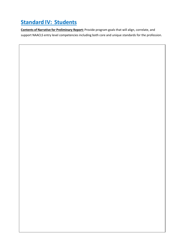### **Standard IV: Students**

**Contents of Narrative for Preliminary Report:** Provide program goals that will align, correlate, and support NAACLS entry level competencies including both core and unique standards for the profession.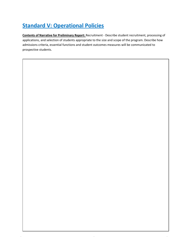### **Standard V: Operational Policies**

**Contents of Narrative for Preliminary Report:** Recruitment - Describe student recruitment, processing of applications, and selection of students appropriate to the size and scope of the program. Describe how admissions criteria, essential functions and student outcomes measures will be communicated to prospective students.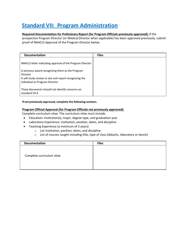### **Standard VII: Program Administration**

#### **Required Documentation for Preliminary Report (for Program Officials previously approved):** If the

prospective Program Director (or Medical Director when applicable) has been approved previously, submit proof of NAACLS Approval of the Program Director below.

| <b>Documentation</b>                                                                                                                                        | <b>Files</b> |
|-------------------------------------------------------------------------------------------------------------------------------------------------------------|--------------|
| NAACLS letter indicating approval of the Program Director                                                                                                   |              |
| A previous award recognizing them as the Program<br>Director<br>A self study review or site visit report recognizing the<br>individual as Program Director. |              |
| These documents should not identify concerns on<br>standard VII.A                                                                                           |              |

**If not previously approved, complete the following sections.**

#### **Program Official Approval (for Program Officials not previously approved):**

Complete curriculum vitae. The curriculum vitae must include:

- Education: Institution(s), major, degree type, and graduation year
- Laboratory Experience: institution, position, dates, and discipline
- Teaching Experience (a minimum of 3 years)
	- o List institution, position, dates, and discipline.
	- o List of courses taught including title, type of class (didactic, laboratory or bench)

| <b>Documentation</b>       | <b>Files</b> |
|----------------------------|--------------|
|                            |              |
| Complete curriculum vitae. |              |
|                            |              |
|                            |              |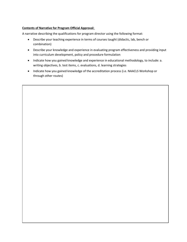#### **Contents of Narrative for Program Official Approval:**

A narrative describing the qualifications for program director using the following format:

- Describe your teaching experience in terms of courses taught (didactic, lab, bench or combination)
- Describe your knowledge and experience in evaluating program effectiveness and providing input into curriculum development, policy and procedure formulation
- Indicate how you gained knowledge and experience in educational methodology, to include: a. writing objectives, b. test items, c. evaluations, d. learning strategies
- Indicate how you gained knowledge of the accreditation process (i.e. NAACLS Workshop or through other routes)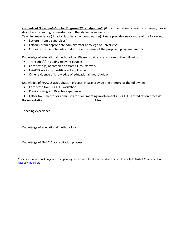*Contents of Documentation for Program Official Approval: (If* documentation cannot be obtained, please describe extenuating circumstances in the above narrative box)

Teaching experience (didactic, lab, bench or combination). Please provide one or more of the following:

- Letter(s) from a supervisor\*
- Letter(s) from appropriate administrator at college or university\*
- Copies of course schedules that include the name of the proposed program director

Knowledge of educational methodology. Please provide one or more of the following:

- Transcript(s) including relevant courses
- Certificate (s) of completion from CE course work
- NAACLS workshop certificate if applicable
- Other evidence of knowledge of educational methodology

Knowledge of NAACLS accreditation process. Please provide one or more of the following:

- Certificate from NAACLS workshop
- **•** Previous Program Director experience
- Letter from mentor or administrator documenting involvement in NAACLS accreditation process\*

| <b>Documentation</b>                       | <b>Files</b> |
|--------------------------------------------|--------------|
| Teaching experience                        |              |
| Knowledge of educational methodology.      |              |
| Knowledge of NAACLS accreditation process. |              |

\*Documentation must originate from primary source on official letterhead and be sent directly to NAACLS via email to [jjasso@naacls.org.](mailto:jjasso@naacls.org)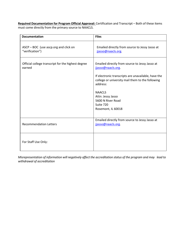**Required Documentation for Program Official Approval:** Certification and Transcript – Both of these items must come directly from the primary source to NAACLS.

| <b>Documentation</b>                                         | <b>Files</b>                                                                                                        |
|--------------------------------------------------------------|---------------------------------------------------------------------------------------------------------------------|
| ASCP-BOC (use ascp.org and click on<br>"verification")       | Emailed directly from source to Jessy Jasso at<br>jjasso@naacls.org                                                 |
| Official college transcript for the highest degree<br>earned | Emailed directly from source to Jessy Jasso at<br>jjasso@naacls.org                                                 |
|                                                              | If electronic transcripts are unavailable, have the<br>college or university mail them to the following<br>address: |
|                                                              | <b>NAACLS</b><br>Attn: Jessy Jasso                                                                                  |
|                                                              | 5600 N River Road<br>Suite 720                                                                                      |
|                                                              | Rosemont, IL 60018                                                                                                  |
| <b>Recommendation Letters</b>                                | Emailed directly from source to Jessy Jasso at<br>jjasso@naacls.org.                                                |
|                                                              |                                                                                                                     |
| For Staff Use Only:                                          |                                                                                                                     |

*Misrepresentation of information will negatively affect the accreditation status of the program and may lead to withdrawal of accreditation*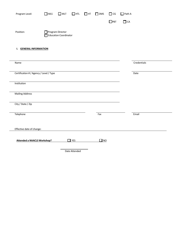| Program Level:                          | $\Box$ MLS | $\Box$ MLT                                | $\Box$ HTL    | $\Box$ HT | $\Box$ DMS | $\Box$ CG  | $\Box$ Path A |             |
|-----------------------------------------|------------|-------------------------------------------|---------------|-----------|------------|------------|---------------|-------------|
|                                         |            |                                           |               |           |            | $\Box$ PBT | $\Box$ CA     |             |
| Position:                               |            | Program Director<br>Education Coordinator |               |           |            |            |               |             |
| <b>I. GENERAL INFORMATION</b>           |            |                                           |               |           |            |            |               |             |
| Name                                    |            |                                           |               |           |            |            |               | Credentials |
| Certification # / Agency / Level / Type |            |                                           |               |           |            |            |               | Date        |
| Institution                             |            |                                           |               |           |            |            |               |             |
| <b>Mailing Address</b>                  |            |                                           |               |           |            |            |               |             |
| City / State / Zip                      |            |                                           |               |           |            |            |               |             |
| Telephone                               |            |                                           |               |           | Fax        |            |               | Email       |
| Effective date of change:               |            |                                           |               |           |            |            |               |             |
| <b>Attended a NAACLS Workshop?</b>      |            |                                           | $\Box$ YES    |           | $\Box$ NO  |            |               |             |
|                                         |            |                                           | Date Attended |           |            |            |               |             |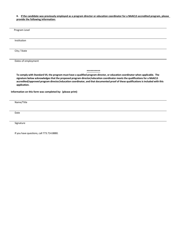#### **II. If the candidate was previously employed as a program director or education coordinator for a NAACLS accredited program, please provide the following information:**

| Program Level       |            |  |
|---------------------|------------|--|
|                     |            |  |
| Institution         |            |  |
|                     |            |  |
| City / State        |            |  |
|                     |            |  |
| Dates of employment |            |  |
|                     |            |  |
|                     | ********** |  |

**To comply with Standard VII, the program must have a qualified program director, or education coordinator when applicable. The signature below acknowledges that the proposed program director/education coordinator meets the qualifications for a NAACLS accredited/approved program director/education coordinator, and that documented proof of these qualifications is included with this application.**

**Information on this form was completed by: (please print)**

Name/Title

Date

Signature

If you have questions, call 773.714.8880.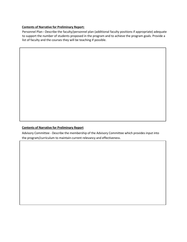#### **Contents of Narrative for Preliminary Report:**

Personnel Plan **-** Describe the faculty/personnel plan (additional faculty positions if appropriate) adequate to support the number of students proposed in the program and to achieve the program goals. Provide a list of faculty and the courses they will be teaching if possible.

#### **Contents of Narrative for Preliminary Report**

Advisory Committee - Describe the membership of the Advisory Committee which provides input into the program/curriculum to maintain current relevancy and effectiveness.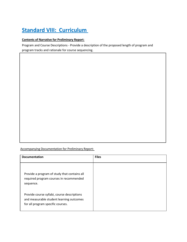### **Standard VIII: Curriculum**

#### **Contents of Narrative for Preliminary Report**:

Program and Course Descriptions - Provide a description of the proposed length of program and program tracks and rationale for course sequencing.

Accompanying Documentation for Preliminary Report:

| <b>Documentation</b>                                                                                                         | <b>Files</b> |
|------------------------------------------------------------------------------------------------------------------------------|--------------|
| Provide a program of study that contains all<br>required program courses in recommended<br>sequence.                         |              |
| Provide course syllabi, course descriptions<br>and measurable student learning outcomes<br>for all program specific courses. |              |